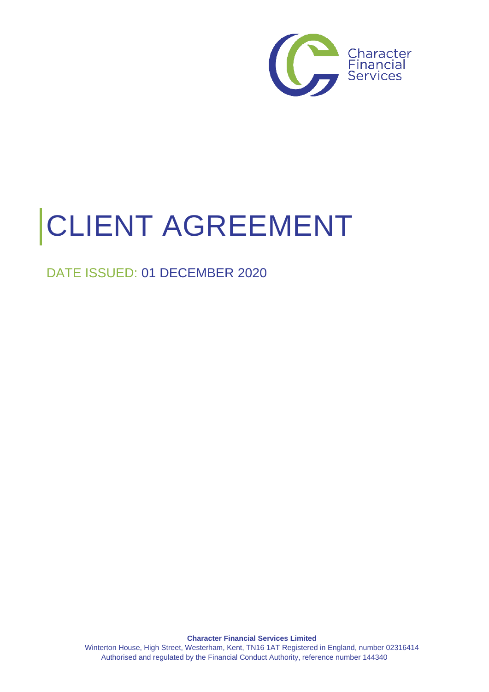

# CLIENT AGREEMENT

# DATE ISSUED: 01 DECEMBER 2020

**Character Financial Services Limited** Winterton House, High Street, Westerham, Kent, TN16 1AT Registered in England, number 02316414 Authorised and regulated by the Financial Conduct Authority, reference number 144340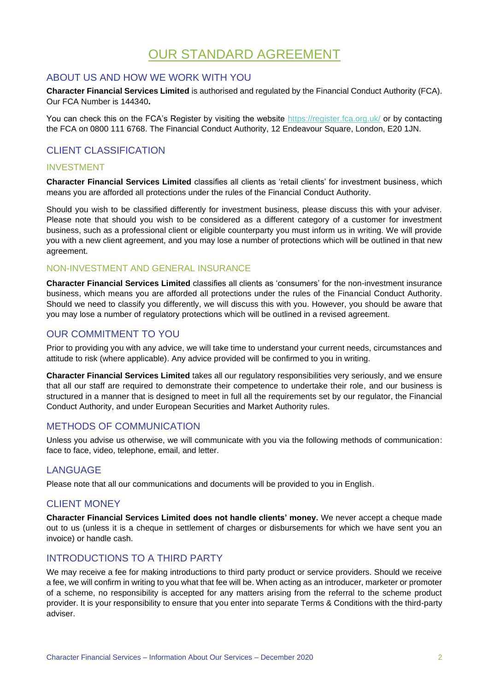# OUR STANDARD AGREEMENT

## ABOUT US AND HOW WE WORK WITH YOU

**Character Financial Services Limited** is authorised and regulated by the Financial Conduct Authority (FCA). Our FCA Number is 144340**.**

You can check this on the FCA's Register by visiting the website<https://register.fca.org.uk/> or by contacting the FCA on 0800 111 6768. The Financial Conduct Authority, 12 Endeavour Square, London, E20 1JN.

## CLIENT CLASSIFICATION

#### INVESTMENT

**Character Financial Services Limited** classifies all clients as 'retail clients' for investment business, which means you are afforded all protections under the rules of the Financial Conduct Authority.

Should you wish to be classified differently for investment business, please discuss this with your adviser. Please note that should you wish to be considered as a different category of a customer for investment business, such as a professional client or eligible counterparty you must inform us in writing. We will provide you with a new client agreement, and you may lose a number of protections which will be outlined in that new agreement.

## NON-INVESTMENT AND GENERAL INSURANCE

**Character Financial Services Limited** classifies all clients as 'consumers' for the non-investment insurance business, which means you are afforded all protections under the rules of the Financial Conduct Authority. Should we need to classify you differently, we will discuss this with you. However, you should be aware that you may lose a number of regulatory protections which will be outlined in a revised agreement.

## OUR COMMITMENT TO YOU

Prior to providing you with any advice, we will take time to understand your current needs, circumstances and attitude to risk (where applicable). Any advice provided will be confirmed to you in writing.

**Character Financial Services Limited** takes all our regulatory responsibilities very seriously, and we ensure that all our staff are required to demonstrate their competence to undertake their role, and our business is structured in a manner that is designed to meet in full all the requirements set by our regulator, the Financial Conduct Authority, and under European Securities and Market Authority rules.

## METHODS OF COMMUNICATION

Unless you advise us otherwise, we will communicate with you via the following methods of communication: face to face, video, telephone, email, and letter.

#### LANGUAGE

Please note that all our communications and documents will be provided to you in English.

## CLIENT MONEY

**Character Financial Services Limited does not handle clients' money.** We never accept a cheque made out to us (unless it is a cheque in settlement of charges or disbursements for which we have sent you an invoice) or handle cash.

## INTRODUCTIONS TO A THIRD PARTY

We may receive a fee for making introductions to third party product or service providers. Should we receive a fee, we will confirm in writing to you what that fee will be. When acting as an introducer, marketer or promoter of a scheme, no responsibility is accepted for any matters arising from the referral to the scheme product provider. It is your responsibility to ensure that you enter into separate Terms & Conditions with the third-party adviser.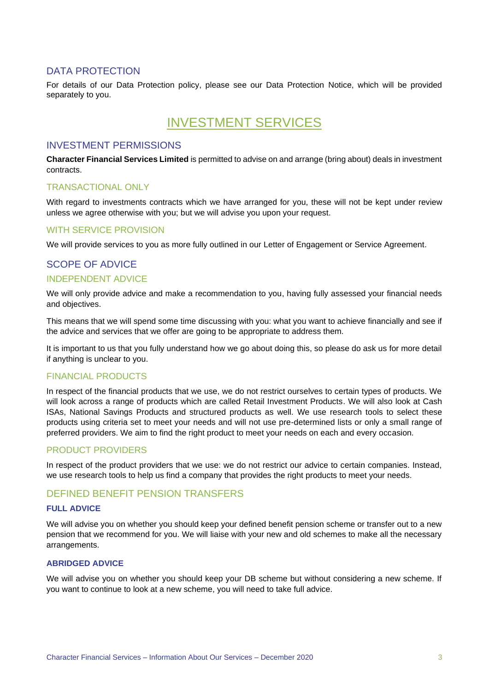## DATA PROTECTION

For details of our Data Protection policy, please see our Data Protection Notice, which will be provided separately to you.

# INVESTMENT SERVICES

## INVESTMENT PERMISSIONS

**Character Financial Services Limited** is permitted to advise on and arrange (bring about) deals in investment contracts.

#### TRANSACTIONAL ONLY

With regard to investments contracts which we have arranged for you, these will not be kept under review unless we agree otherwise with you; but we will advise you upon your request.

#### WITH SERVICE PROVISION

We will provide services to you as more fully outlined in our Letter of Engagement or Service Agreement.

## SCOPE OF ADVICE INDEPENDENT ADVICE

We will only provide advice and make a recommendation to you, having fully assessed your financial needs and objectives.

This means that we will spend some time discussing with you: what you want to achieve financially and see if the advice and services that we offer are going to be appropriate to address them.

It is important to us that you fully understand how we go about doing this, so please do ask us for more detail if anything is unclear to you.

#### FINANCIAL PRODUCTS

In respect of the financial products that we use, we do not restrict ourselves to certain types of products. We will look across a range of products which are called Retail Investment Products. We will also look at Cash ISAs, National Savings Products and structured products as well. We use research tools to select these products using criteria set to meet your needs and will not use pre-determined lists or only a small range of preferred providers. We aim to find the right product to meet your needs on each and every occasion.

#### PRODUCT PROVIDERS

In respect of the product providers that we use: we do not restrict our advice to certain companies. Instead, we use research tools to help us find a company that provides the right products to meet your needs.

#### DEFINED BENEFIT PENSION TRANSFERS

#### **FULL ADVICE**

We will advise you on whether you should keep your defined benefit pension scheme or transfer out to a new pension that we recommend for you. We will liaise with your new and old schemes to make all the necessary arrangements.

#### **ABRIDGED ADVICE**

We will advise you on whether you should keep your DB scheme but without considering a new scheme. If you want to continue to look at a new scheme, you will need to take full advice.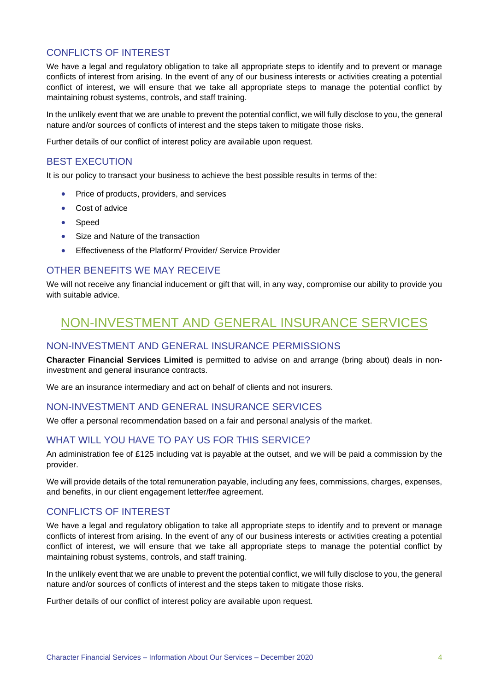## CONFLICTS OF INTEREST

We have a legal and regulatory obligation to take all appropriate steps to identify and to prevent or manage conflicts of interest from arising. In the event of any of our business interests or activities creating a potential conflict of interest, we will ensure that we take all appropriate steps to manage the potential conflict by maintaining robust systems, controls, and staff training.

In the unlikely event that we are unable to prevent the potential conflict, we will fully disclose to you, the general nature and/or sources of conflicts of interest and the steps taken to mitigate those risks.

Further details of our conflict of interest policy are available upon request.

#### BEST EXECUTION

It is our policy to transact your business to achieve the best possible results in terms of the:

- Price of products, providers, and services
- Cost of advice
- Speed
- Size and Nature of the transaction
- Effectiveness of the Platform/ Provider/ Service Provider

## OTHER BENEFITS WE MAY RECEIVE

We will not receive any financial inducement or gift that will, in any way, compromise our ability to provide you with suitable advice.

# NON-INVESTMENT AND GENERAL INSURANCE SERVICES

#### NON-INVESTMENT AND GENERAL INSURANCE PERMISSIONS

**Character Financial Services Limited** is permitted to advise on and arrange (bring about) deals in noninvestment and general insurance contracts.

We are an insurance intermediary and act on behalf of clients and not insurers.

#### NON-INVESTMENT AND GENERAL INSURANCE SERVICES

We offer a personal recommendation based on a fair and personal analysis of the market.

## WHAT WILL YOU HAVE TO PAY US FOR THIS SERVICE?

An administration fee of £125 including vat is payable at the outset, and we will be paid a commission by the provider.

We will provide details of the total remuneration payable, including any fees, commissions, charges, expenses, and benefits, in our client engagement letter/fee agreement.

#### CONFLICTS OF INTEREST

We have a legal and regulatory obligation to take all appropriate steps to identify and to prevent or manage conflicts of interest from arising. In the event of any of our business interests or activities creating a potential conflict of interest, we will ensure that we take all appropriate steps to manage the potential conflict by maintaining robust systems, controls, and staff training.

In the unlikely event that we are unable to prevent the potential conflict, we will fully disclose to you, the general nature and/or sources of conflicts of interest and the steps taken to mitigate those risks.

Further details of our conflict of interest policy are available upon request.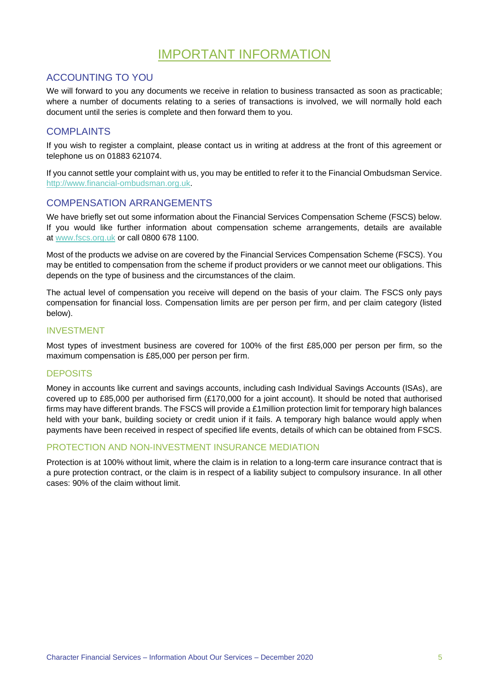# IMPORTANT INFORMATION

## ACCOUNTING TO YOU

We will forward to you any documents we receive in relation to business transacted as soon as practicable; where a number of documents relating to a series of transactions is involved, we will normally hold each document until the series is complete and then forward them to you*.*

## **COMPLAINTS**

If you wish to register a complaint, please contact us in writing at address at the front of this agreement or telephone us on 01883 621074.

If you cannot settle your complaint with us, you may be entitled to refer it to the Financial Ombudsman Service. [http://www.financial-ombudsman.org.uk.](http://www.financial-ombudsman.org.uk/)

#### COMPENSATION ARRANGEMENTS

We have briefly set out some information about the Financial Services Compensation Scheme (FSCS) below. If you would like further information about compensation scheme arrangements, details are available at [www.fscs.org.uk](http://www.fscs.org.uk/) or call 0800 678 1100.

Most of the products we advise on are covered by the Financial Services Compensation Scheme (FSCS). You may be entitled to compensation from the scheme if product providers or we cannot meet our obligations. This depends on the type of business and the circumstances of the claim.

The actual level of compensation you receive will depend on the basis of your claim. The FSCS only pays compensation for financial loss. Compensation limits are per person per firm, and per claim category (listed below).

#### INVESTMENT

Most types of investment business are covered for 100% of the first £85,000 per person per firm, so the maximum compensation is £85,000 per person per firm.

#### **DEPOSITS**

Money in accounts like current and savings accounts, including cash Individual Savings Accounts (ISAs), are covered up to £85,000 per authorised firm (£170,000 for a joint account). It should be noted that authorised firms may have different brands. The FSCS will provide a £1million protection limit for temporary high balances held with your bank, building society or credit union if it fails. A temporary high balance would apply when payments have been received in respect of specified life events, details of which can be obtained from FSCS.

#### PROTECTION AND NON-INVESTMENT INSURANCE MEDIATION

Protection is at 100% without limit, where the claim is in relation to a long-term care insurance contract that is a pure protection contract, or the claim is in respect of a liability subject to compulsory insurance. In all other cases: 90% of the claim without limit.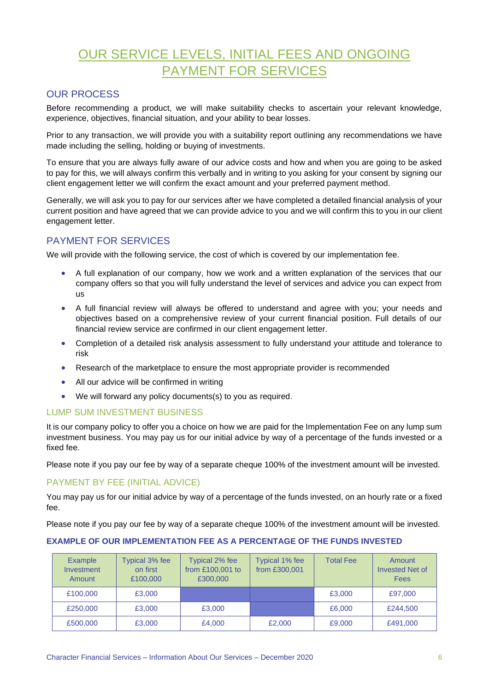# OUR SERVICE LEVELS, INITIAL FEES AND ONGOING PAYMENT FOR SERVICES

## OUR PROCESS

Before recommending a product, we will make suitability checks to ascertain your relevant knowledge, experience, objectives, financial situation, and your ability to bear losses.

Prior to any transaction, we will provide you with a suitability report outlining any recommendations we have made including the selling, holding or buying of investments.

To ensure that you are always fully aware of our advice costs and how and when you are going to be asked to pay for this, we will always confirm this verbally and in writing to you asking for your consent by signing our client engagement letter we will confirm the exact amount and your preferred payment method.

Generally, we will ask you to pay for our services after we have completed a detailed financial analysis of your current position and have agreed that we can provide advice to you and we will confirm this to you in our client engagement letter.

## PAYMENT FOR SERVICES

We will provide with the following service, the cost of which is covered by our implementation fee.

- A full explanation of our company, how we work and a written explanation of the services that our company offers so that you will fully understand the level of services and advice you can expect from us
- A full financial review will always be offered to understand and agree with you; your needs and objectives based on a comprehensive review of your current financial position. Full details of our financial review service are confirmed in our client engagement letter.
- Completion of a detailed risk analysis assessment to fully understand your attitude and tolerance to risk
- Research of the marketplace to ensure the most appropriate provider is recommended
- All our advice will be confirmed in writing
- We will forward any policy documents(s) to you as required.

#### LUMP SUM INVESTMENT BUSINESS

It is our company policy to offer you a choice on how we are paid for the Implementation Fee on any lump sum investment business. You may pay us for our initial advice by way of a percentage of the funds invested or a fixed fee.

Please note if you pay our fee by way of a separate cheque 100% of the investment amount will be invested.

#### PAYMENT BY FEE (INITIAL ADVICE)

You may pay us for our initial advice by way of a percentage of the funds invested, on an hourly rate or a fixed fee.

Please note if you pay our fee by way of a separate cheque 100% of the investment amount will be invested.

#### **EXAMPLE OF OUR IMPLEMENTATION FEE AS A PERCENTAGE OF THE FUNDS INVESTED**

| <b>Example</b><br>Investment<br>Amount | Typical 3% fee<br>on first<br>£100,000 | Typical 2% fee<br>from £100,001 to<br>£300,000 | Typical 1% fee<br>from £300,001 | <b>Total Fee</b> | Amount<br><b>Invested Net of</b><br>Fees |
|----------------------------------------|----------------------------------------|------------------------------------------------|---------------------------------|------------------|------------------------------------------|
| £100,000                               | £3,000                                 |                                                |                                 | £3,000           | £97,000                                  |
| £250,000                               | £3,000                                 | £3,000                                         |                                 | £6,000           | £244,500                                 |
| £500,000                               | £3,000                                 | £4,000                                         | £2,000                          | £9,000           | £491,000                                 |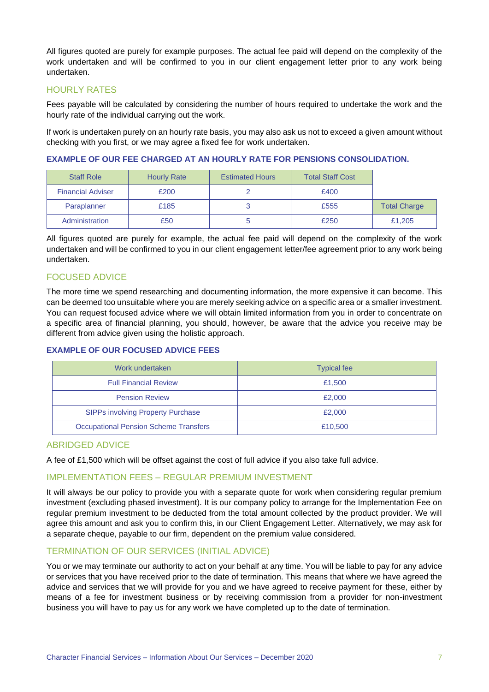All figures quoted are purely for example purposes. The actual fee paid will depend on the complexity of the work undertaken and will be confirmed to you in our client engagement letter prior to any work being undertaken.

#### HOURLY RATES

Fees payable will be calculated by considering the number of hours required to undertake the work and the hourly rate of the individual carrying out the work.

If work is undertaken purely on an hourly rate basis, you may also ask us not to exceed a given amount without checking with you first, or we may agree a fixed fee for work undertaken.

#### **EXAMPLE OF OUR FEE CHARGED AT AN HOURLY RATE FOR PENSIONS CONSOLIDATION.**

| <b>Staff Role</b>        | <b>Hourly Rate</b> | <b>Estimated Hours</b> | <b>Total Staff Cost</b> |                     |
|--------------------------|--------------------|------------------------|-------------------------|---------------------|
| <b>Financial Adviser</b> | £200               |                        | £400                    |                     |
| Paraplanner              | £185               |                        | £555                    | <b>Total Charge</b> |
| Administration           | £50                |                        | £250                    | £1,205              |

All figures quoted are purely for example, the actual fee paid will depend on the complexity of the work undertaken and will be confirmed to you in our client engagement letter/fee agreement prior to any work being undertaken.

#### FOCUSED ADVICE

The more time we spend researching and documenting information, the more expensive it can become. This can be deemed too unsuitable where you are merely seeking advice on a specific area or a smaller investment. You can request focused advice where we will obtain limited information from you in order to concentrate on a specific area of financial planning, you should, however, be aware that the advice you receive may be different from advice given using the holistic approach.

#### **EXAMPLE OF OUR FOCUSED ADVICE FEES**

| Work undertaken                              | <b>Typical fee</b> |
|----------------------------------------------|--------------------|
| <b>Full Financial Review</b>                 | £1,500             |
| <b>Pension Review</b>                        | £2,000             |
| <b>SIPPs involving Property Purchase</b>     | £2,000             |
| <b>Occupational Pension Scheme Transfers</b> | £10,500            |

#### ABRIDGED ADVICE

A fee of £1,500 which will be offset against the cost of full advice if you also take full advice.

#### IMPLEMENTATION FEES – REGULAR PREMIUM INVESTMENT

It will always be our policy to provide you with a separate quote for work when considering regular premium investment (excluding phased investment). It is our company policy to arrange for the Implementation Fee on regular premium investment to be deducted from the total amount collected by the product provider. We will agree this amount and ask you to confirm this, in our Client Engagement Letter. Alternatively, we may ask for a separate cheque, payable to our firm, dependent on the premium value considered.

#### TERMINATION OF OUR SERVICES (INITIAL ADVICE)

You or we may terminate our authority to act on your behalf at any time. You will be liable to pay for any advice or services that you have received prior to the date of termination. This means that where we have agreed the advice and services that we will provide for you and we have agreed to receive payment for these, either by means of a fee for investment business or by receiving commission from a provider for non-investment business you will have to pay us for any work we have completed up to the date of termination.